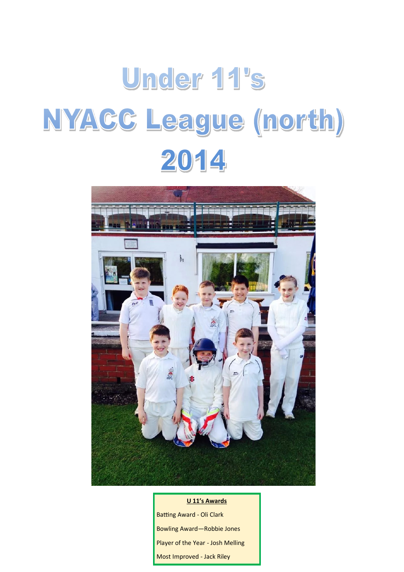## Under 11's NYACC League (north) 2014



## **U 11's Awards**

Batting Award - Oli Clark Bowling Award—Robbie Jones Player of the Year - Josh Melling Most Improved - Jack Riley